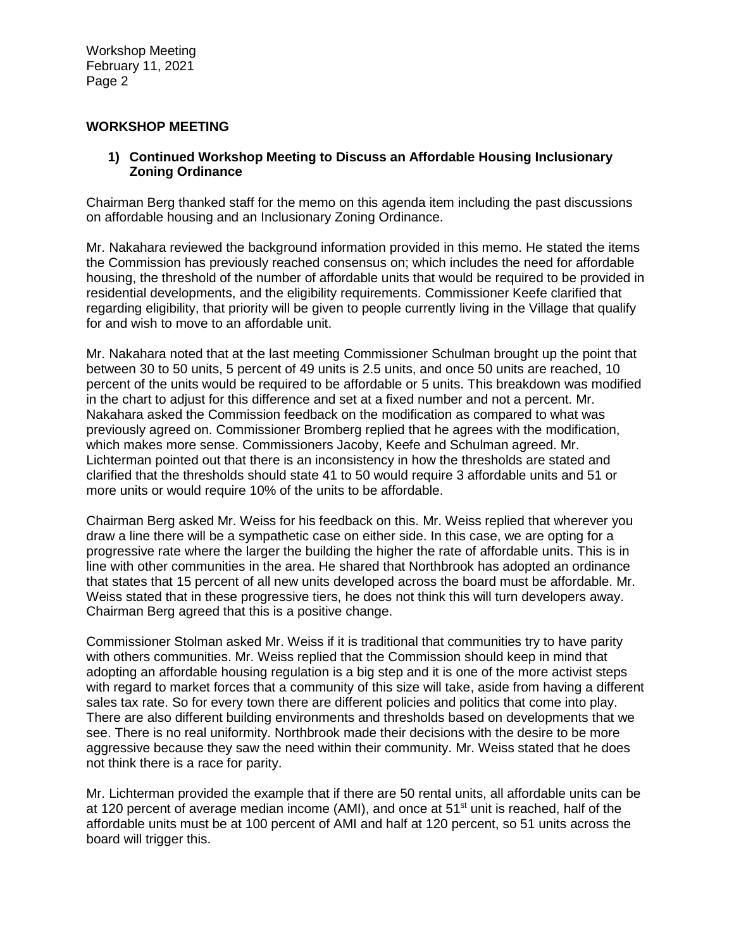## **WORKSHOP MEETING**

## **1) Continued Workshop Meeting to Discuss an Affordable Housing Inclusionary Zoning Ordinance**

Chairman Berg thanked staff for the memo on this agenda item including the past discussions on affordable housing and an Inclusionary Zoning Ordinance.

Mr. Nakahara reviewed the background information provided in this memo. He stated the items the Commission has previously reached consensus on; which includes the need for affordable housing, the threshold of the number of affordable units that would be required to be provided in residential developments, and the eligibility requirements. Commissioner Keefe clarified that regarding eligibility, that priority will be given to people currently living in the Village that qualify for and wish to move to an affordable unit.

Mr. Nakahara noted that at the last meeting Commissioner Schulman brought up the point that between 30 to 50 units, 5 percent of 49 units is 2.5 units, and once 50 units are reached, 10 percent of the units would be required to be affordable or 5 units. This breakdown was modified in the chart to adjust for this difference and set at a fixed number and not a percent. Mr. Nakahara asked the Commission feedback on the modification as compared to what was previously agreed on. Commissioner Bromberg replied that he agrees with the modification, which makes more sense. Commissioners Jacoby, Keefe and Schulman agreed. Mr. Lichterman pointed out that there is an inconsistency in how the thresholds are stated and clarified that the thresholds should state 41 to 50 would require 3 affordable units and 51 or more units or would require 10% of the units to be affordable.

Chairman Berg asked Mr. Weiss for his feedback on this. Mr. Weiss replied that wherever you draw a line there will be a sympathetic case on either side. In this case, we are opting for a progressive rate where the larger the building the higher the rate of affordable units. This is in line with other communities in the area. He shared that Northbrook has adopted an ordinance that states that 15 percent of all new units developed across the board must be affordable. Mr. Weiss stated that in these progressive tiers, he does not think this will turn developers away. Chairman Berg agreed that this is a positive change.

Commissioner Stolman asked Mr. Weiss if it is traditional that communities try to have parity with others communities. Mr. Weiss replied that the Commission should keep in mind that adopting an affordable housing regulation is a big step and it is one of the more activist steps with regard to market forces that a community of this size will take, aside from having a different sales tax rate. So for every town there are different policies and politics that come into play. There are also different building environments and thresholds based on developments that we see. There is no real uniformity. Northbrook made their decisions with the desire to be more aggressive because they saw the need within their community. Mr. Weiss stated that he does not think there is a race for parity.

Mr. Lichterman provided the example that if there are 50 rental units, all affordable units can be at 120 percent of average median income (AMI), and once at  $51<sup>st</sup>$  unit is reached, half of the affordable units must be at 100 percent of AMI and half at 120 percent, so 51 units across the board will trigger this.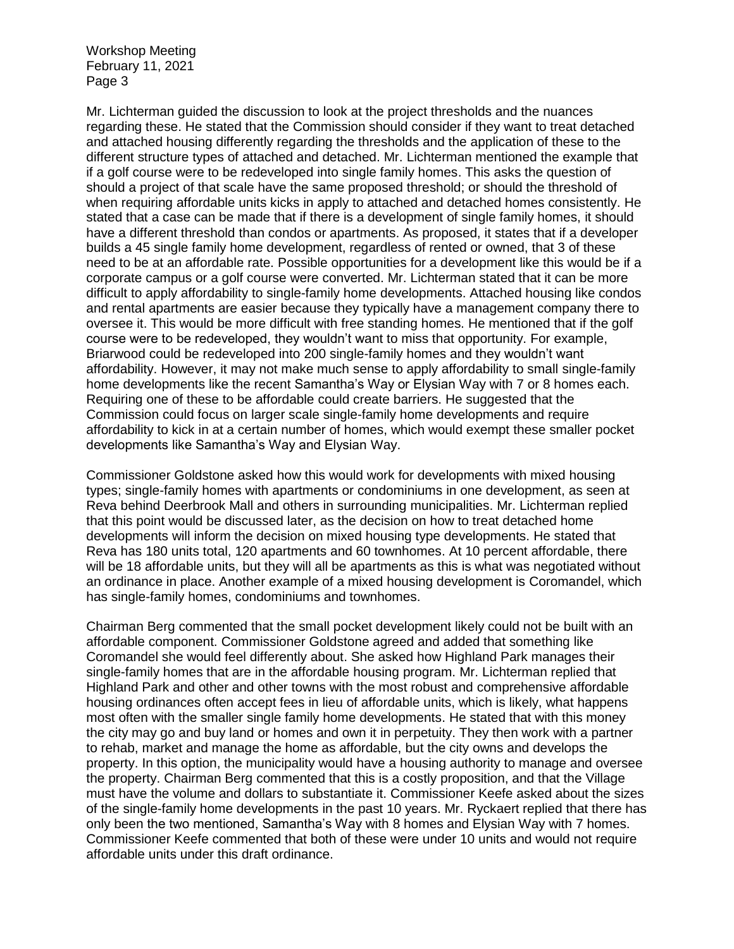Mr. Lichterman guided the discussion to look at the project thresholds and the nuances regarding these. He stated that the Commission should consider if they want to treat detached and attached housing differently regarding the thresholds and the application of these to the different structure types of attached and detached. Mr. Lichterman mentioned the example that if a golf course were to be redeveloped into single family homes. This asks the question of should a project of that scale have the same proposed threshold; or should the threshold of when requiring affordable units kicks in apply to attached and detached homes consistently. He stated that a case can be made that if there is a development of single family homes, it should have a different threshold than condos or apartments. As proposed, it states that if a developer builds a 45 single family home development, regardless of rented or owned, that 3 of these need to be at an affordable rate. Possible opportunities for a development like this would be if a corporate campus or a golf course were converted. Mr. Lichterman stated that it can be more difficult to apply affordability to single-family home developments. Attached housing like condos and rental apartments are easier because they typically have a management company there to oversee it. This would be more difficult with free standing homes. He mentioned that if the golf course were to be redeveloped, they wouldn't want to miss that opportunity. For example, Briarwood could be redeveloped into 200 single-family homes and they wouldn't want affordability. However, it may not make much sense to apply affordability to small single-family home developments like the recent Samantha's Way or Elysian Way with 7 or 8 homes each. Requiring one of these to be affordable could create barriers. He suggested that the Commission could focus on larger scale single-family home developments and require affordability to kick in at a certain number of homes, which would exempt these smaller pocket developments like Samantha's Way and Elysian Way.

Commissioner Goldstone asked how this would work for developments with mixed housing types; single-family homes with apartments or condominiums in one development, as seen at Reva behind Deerbrook Mall and others in surrounding municipalities. Mr. Lichterman replied that this point would be discussed later, as the decision on how to treat detached home developments will inform the decision on mixed housing type developments. He stated that Reva has 180 units total, 120 apartments and 60 townhomes. At 10 percent affordable, there will be 18 affordable units, but they will all be apartments as this is what was negotiated without an ordinance in place. Another example of a mixed housing development is Coromandel, which has single-family homes, condominiums and townhomes.

Chairman Berg commented that the small pocket development likely could not be built with an affordable component. Commissioner Goldstone agreed and added that something like Coromandel she would feel differently about. She asked how Highland Park manages their single-family homes that are in the affordable housing program. Mr. Lichterman replied that Highland Park and other and other towns with the most robust and comprehensive affordable housing ordinances often accept fees in lieu of affordable units, which is likely, what happens most often with the smaller single family home developments. He stated that with this money the city may go and buy land or homes and own it in perpetuity. They then work with a partner to rehab, market and manage the home as affordable, but the city owns and develops the property. In this option, the municipality would have a housing authority to manage and oversee the property. Chairman Berg commented that this is a costly proposition, and that the Village must have the volume and dollars to substantiate it. Commissioner Keefe asked about the sizes of the single-family home developments in the past 10 years. Mr. Ryckaert replied that there has only been the two mentioned, Samantha's Way with 8 homes and Elysian Way with 7 homes. Commissioner Keefe commented that both of these were under 10 units and would not require affordable units under this draft ordinance.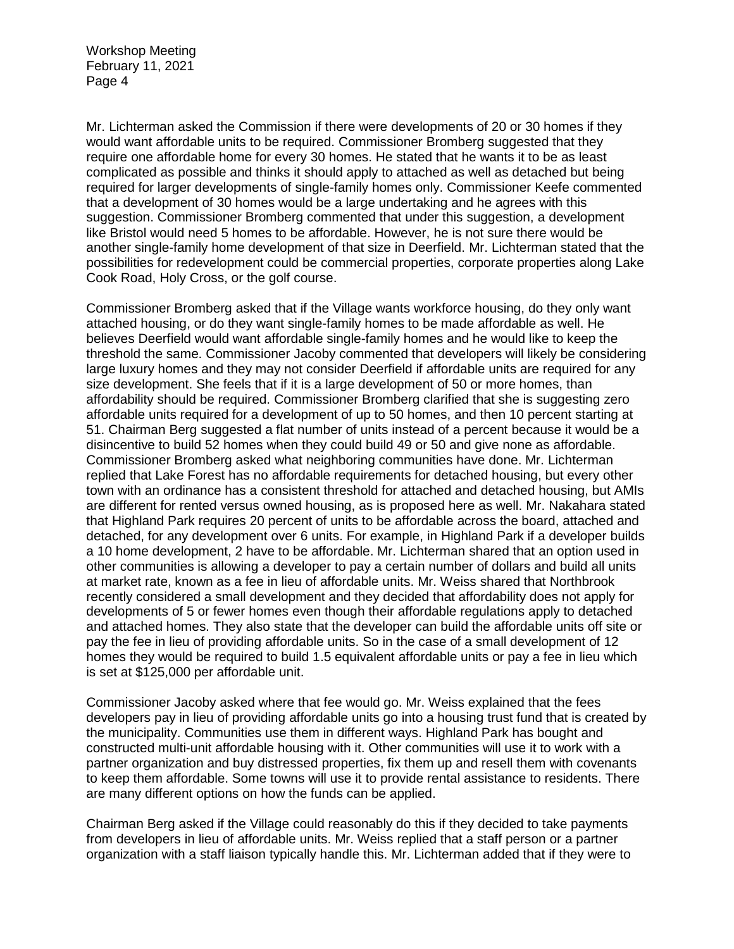Mr. Lichterman asked the Commission if there were developments of 20 or 30 homes if they would want affordable units to be required. Commissioner Bromberg suggested that they require one affordable home for every 30 homes. He stated that he wants it to be as least complicated as possible and thinks it should apply to attached as well as detached but being required for larger developments of single-family homes only. Commissioner Keefe commented that a development of 30 homes would be a large undertaking and he agrees with this suggestion. Commissioner Bromberg commented that under this suggestion, a development like Bristol would need 5 homes to be affordable. However, he is not sure there would be another single-family home development of that size in Deerfield. Mr. Lichterman stated that the possibilities for redevelopment could be commercial properties, corporate properties along Lake Cook Road, Holy Cross, or the golf course.

Commissioner Bromberg asked that if the Village wants workforce housing, do they only want attached housing, or do they want single-family homes to be made affordable as well. He believes Deerfield would want affordable single-family homes and he would like to keep the threshold the same. Commissioner Jacoby commented that developers will likely be considering large luxury homes and they may not consider Deerfield if affordable units are required for any size development. She feels that if it is a large development of 50 or more homes, than affordability should be required. Commissioner Bromberg clarified that she is suggesting zero affordable units required for a development of up to 50 homes, and then 10 percent starting at 51. Chairman Berg suggested a flat number of units instead of a percent because it would be a disincentive to build 52 homes when they could build 49 or 50 and give none as affordable. Commissioner Bromberg asked what neighboring communities have done. Mr. Lichterman replied that Lake Forest has no affordable requirements for detached housing, but every other town with an ordinance has a consistent threshold for attached and detached housing, but AMIs are different for rented versus owned housing, as is proposed here as well. Mr. Nakahara stated that Highland Park requires 20 percent of units to be affordable across the board, attached and detached, for any development over 6 units. For example, in Highland Park if a developer builds a 10 home development, 2 have to be affordable. Mr. Lichterman shared that an option used in other communities is allowing a developer to pay a certain number of dollars and build all units at market rate, known as a fee in lieu of affordable units. Mr. Weiss shared that Northbrook recently considered a small development and they decided that affordability does not apply for developments of 5 or fewer homes even though their affordable regulations apply to detached and attached homes. They also state that the developer can build the affordable units off site or pay the fee in lieu of providing affordable units. So in the case of a small development of 12 homes they would be required to build 1.5 equivalent affordable units or pay a fee in lieu which is set at \$125,000 per affordable unit.

Commissioner Jacoby asked where that fee would go. Mr. Weiss explained that the fees developers pay in lieu of providing affordable units go into a housing trust fund that is created by the municipality. Communities use them in different ways. Highland Park has bought and constructed multi-unit affordable housing with it. Other communities will use it to work with a partner organization and buy distressed properties, fix them up and resell them with covenants to keep them affordable. Some towns will use it to provide rental assistance to residents. There are many different options on how the funds can be applied.

Chairman Berg asked if the Village could reasonably do this if they decided to take payments from developers in lieu of affordable units. Mr. Weiss replied that a staff person or a partner organization with a staff liaison typically handle this. Mr. Lichterman added that if they were to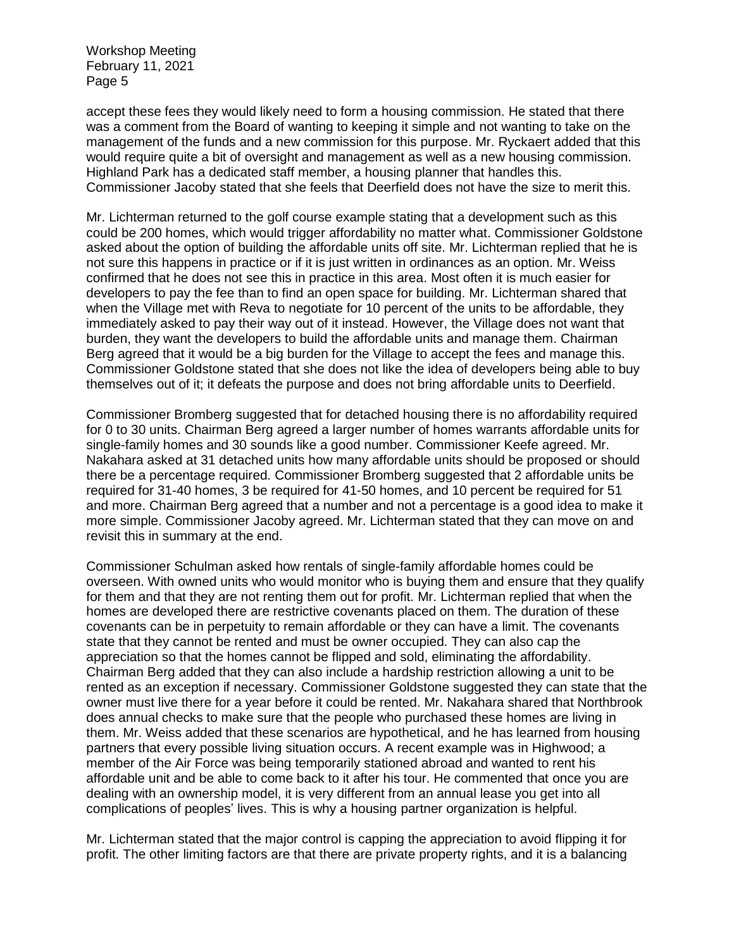accept these fees they would likely need to form a housing commission. He stated that there was a comment from the Board of wanting to keeping it simple and not wanting to take on the management of the funds and a new commission for this purpose. Mr. Ryckaert added that this would require quite a bit of oversight and management as well as a new housing commission. Highland Park has a dedicated staff member, a housing planner that handles this. Commissioner Jacoby stated that she feels that Deerfield does not have the size to merit this.

Mr. Lichterman returned to the golf course example stating that a development such as this could be 200 homes, which would trigger affordability no matter what. Commissioner Goldstone asked about the option of building the affordable units off site. Mr. Lichterman replied that he is not sure this happens in practice or if it is just written in ordinances as an option. Mr. Weiss confirmed that he does not see this in practice in this area. Most often it is much easier for developers to pay the fee than to find an open space for building. Mr. Lichterman shared that when the Village met with Reva to negotiate for 10 percent of the units to be affordable, they immediately asked to pay their way out of it instead. However, the Village does not want that burden, they want the developers to build the affordable units and manage them. Chairman Berg agreed that it would be a big burden for the Village to accept the fees and manage this. Commissioner Goldstone stated that she does not like the idea of developers being able to buy themselves out of it; it defeats the purpose and does not bring affordable units to Deerfield.

Commissioner Bromberg suggested that for detached housing there is no affordability required for 0 to 30 units. Chairman Berg agreed a larger number of homes warrants affordable units for single-family homes and 30 sounds like a good number. Commissioner Keefe agreed. Mr. Nakahara asked at 31 detached units how many affordable units should be proposed or should there be a percentage required. Commissioner Bromberg suggested that 2 affordable units be required for 31-40 homes, 3 be required for 41-50 homes, and 10 percent be required for 51 and more. Chairman Berg agreed that a number and not a percentage is a good idea to make it more simple. Commissioner Jacoby agreed. Mr. Lichterman stated that they can move on and revisit this in summary at the end.

Commissioner Schulman asked how rentals of single-family affordable homes could be overseen. With owned units who would monitor who is buying them and ensure that they qualify for them and that they are not renting them out for profit. Mr. Lichterman replied that when the homes are developed there are restrictive covenants placed on them. The duration of these covenants can be in perpetuity to remain affordable or they can have a limit. The covenants state that they cannot be rented and must be owner occupied. They can also cap the appreciation so that the homes cannot be flipped and sold, eliminating the affordability. Chairman Berg added that they can also include a hardship restriction allowing a unit to be rented as an exception if necessary. Commissioner Goldstone suggested they can state that the owner must live there for a year before it could be rented. Mr. Nakahara shared that Northbrook does annual checks to make sure that the people who purchased these homes are living in them. Mr. Weiss added that these scenarios are hypothetical, and he has learned from housing partners that every possible living situation occurs. A recent example was in Highwood; a member of the Air Force was being temporarily stationed abroad and wanted to rent his affordable unit and be able to come back to it after his tour. He commented that once you are dealing with an ownership model, it is very different from an annual lease you get into all complications of peoples' lives. This is why a housing partner organization is helpful.

Mr. Lichterman stated that the major control is capping the appreciation to avoid flipping it for profit. The other limiting factors are that there are private property rights, and it is a balancing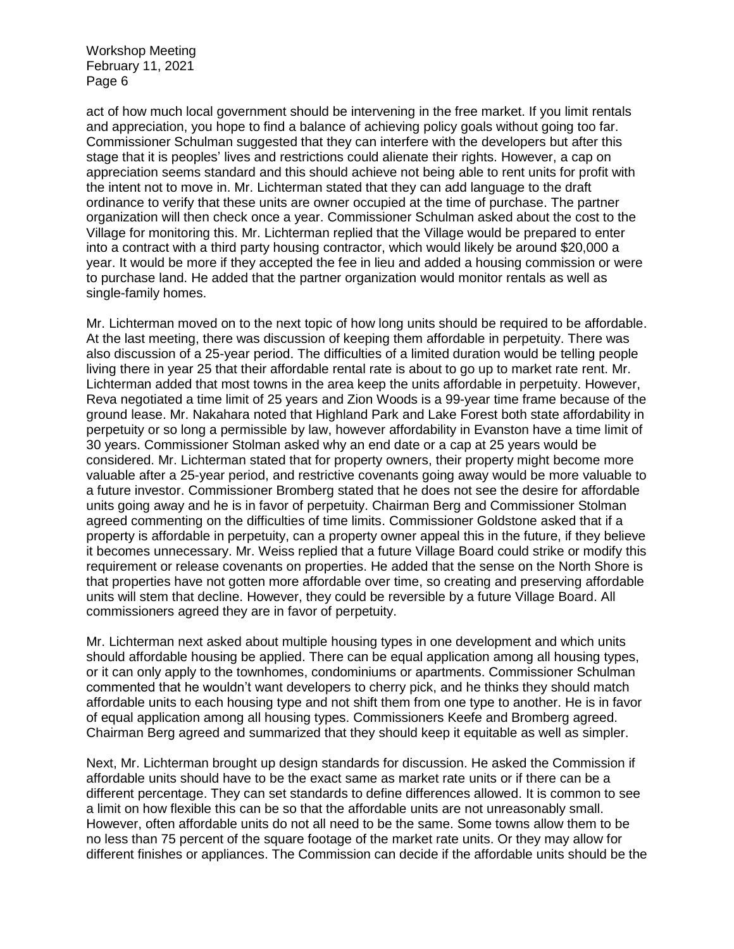act of how much local government should be intervening in the free market. If you limit rentals and appreciation, you hope to find a balance of achieving policy goals without going too far. Commissioner Schulman suggested that they can interfere with the developers but after this stage that it is peoples' lives and restrictions could alienate their rights. However, a cap on appreciation seems standard and this should achieve not being able to rent units for profit with the intent not to move in. Mr. Lichterman stated that they can add language to the draft ordinance to verify that these units are owner occupied at the time of purchase. The partner organization will then check once a year. Commissioner Schulman asked about the cost to the Village for monitoring this. Mr. Lichterman replied that the Village would be prepared to enter into a contract with a third party housing contractor, which would likely be around \$20,000 a year. It would be more if they accepted the fee in lieu and added a housing commission or were to purchase land. He added that the partner organization would monitor rentals as well as single-family homes.

Mr. Lichterman moved on to the next topic of how long units should be required to be affordable. At the last meeting, there was discussion of keeping them affordable in perpetuity. There was also discussion of a 25-year period. The difficulties of a limited duration would be telling people living there in year 25 that their affordable rental rate is about to go up to market rate rent. Mr. Lichterman added that most towns in the area keep the units affordable in perpetuity. However, Reva negotiated a time limit of 25 years and Zion Woods is a 99-year time frame because of the ground lease. Mr. Nakahara noted that Highland Park and Lake Forest both state affordability in perpetuity or so long a permissible by law, however affordability in Evanston have a time limit of 30 years. Commissioner Stolman asked why an end date or a cap at 25 years would be considered. Mr. Lichterman stated that for property owners, their property might become more valuable after a 25-year period, and restrictive covenants going away would be more valuable to a future investor. Commissioner Bromberg stated that he does not see the desire for affordable units going away and he is in favor of perpetuity. Chairman Berg and Commissioner Stolman agreed commenting on the difficulties of time limits. Commissioner Goldstone asked that if a property is affordable in perpetuity, can a property owner appeal this in the future, if they believe it becomes unnecessary. Mr. Weiss replied that a future Village Board could strike or modify this requirement or release covenants on properties. He added that the sense on the North Shore is that properties have not gotten more affordable over time, so creating and preserving affordable units will stem that decline. However, they could be reversible by a future Village Board. All commissioners agreed they are in favor of perpetuity.

Mr. Lichterman next asked about multiple housing types in one development and which units should affordable housing be applied. There can be equal application among all housing types, or it can only apply to the townhomes, condominiums or apartments. Commissioner Schulman commented that he wouldn't want developers to cherry pick, and he thinks they should match affordable units to each housing type and not shift them from one type to another. He is in favor of equal application among all housing types. Commissioners Keefe and Bromberg agreed. Chairman Berg agreed and summarized that they should keep it equitable as well as simpler.

Next, Mr. Lichterman brought up design standards for discussion. He asked the Commission if affordable units should have to be the exact same as market rate units or if there can be a different percentage. They can set standards to define differences allowed. It is common to see a limit on how flexible this can be so that the affordable units are not unreasonably small. However, often affordable units do not all need to be the same. Some towns allow them to be no less than 75 percent of the square footage of the market rate units. Or they may allow for different finishes or appliances. The Commission can decide if the affordable units should be the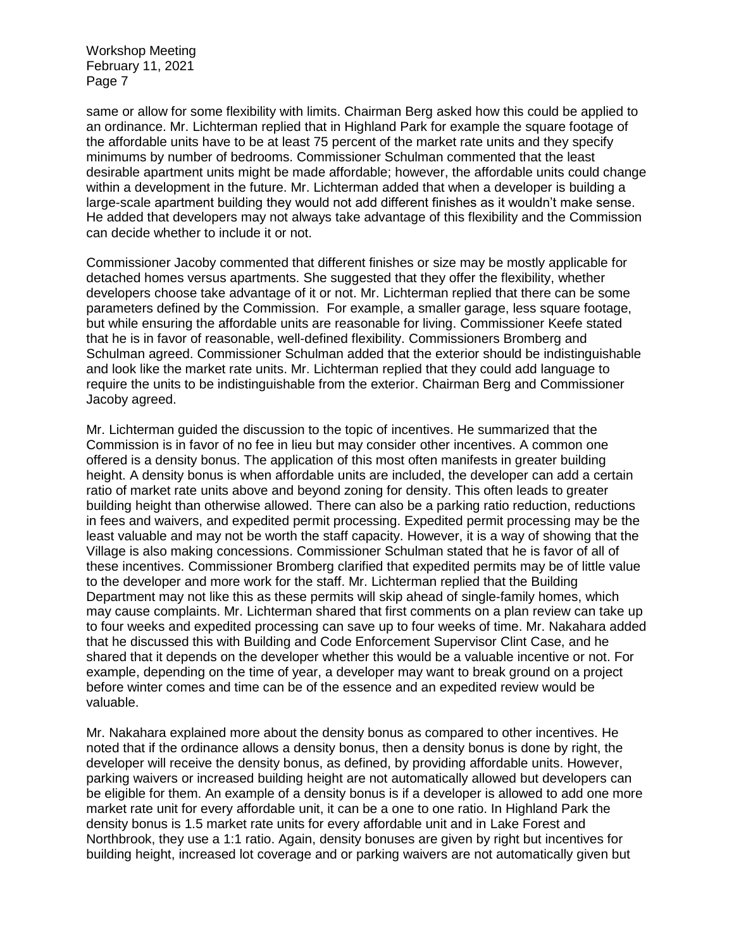same or allow for some flexibility with limits. Chairman Berg asked how this could be applied to an ordinance. Mr. Lichterman replied that in Highland Park for example the square footage of the affordable units have to be at least 75 percent of the market rate units and they specify minimums by number of bedrooms. Commissioner Schulman commented that the least desirable apartment units might be made affordable; however, the affordable units could change within a development in the future. Mr. Lichterman added that when a developer is building a large-scale apartment building they would not add different finishes as it wouldn't make sense. He added that developers may not always take advantage of this flexibility and the Commission can decide whether to include it or not.

Commissioner Jacoby commented that different finishes or size may be mostly applicable for detached homes versus apartments. She suggested that they offer the flexibility, whether developers choose take advantage of it or not. Mr. Lichterman replied that there can be some parameters defined by the Commission. For example, a smaller garage, less square footage, but while ensuring the affordable units are reasonable for living. Commissioner Keefe stated that he is in favor of reasonable, well-defined flexibility. Commissioners Bromberg and Schulman agreed. Commissioner Schulman added that the exterior should be indistinguishable and look like the market rate units. Mr. Lichterman replied that they could add language to require the units to be indistinguishable from the exterior. Chairman Berg and Commissioner Jacoby agreed.

Mr. Lichterman guided the discussion to the topic of incentives. He summarized that the Commission is in favor of no fee in lieu but may consider other incentives. A common one offered is a density bonus. The application of this most often manifests in greater building height. A density bonus is when affordable units are included, the developer can add a certain ratio of market rate units above and beyond zoning for density. This often leads to greater building height than otherwise allowed. There can also be a parking ratio reduction, reductions in fees and waivers, and expedited permit processing. Expedited permit processing may be the least valuable and may not be worth the staff capacity. However, it is a way of showing that the Village is also making concessions. Commissioner Schulman stated that he is favor of all of these incentives. Commissioner Bromberg clarified that expedited permits may be of little value to the developer and more work for the staff. Mr. Lichterman replied that the Building Department may not like this as these permits will skip ahead of single-family homes, which may cause complaints. Mr. Lichterman shared that first comments on a plan review can take up to four weeks and expedited processing can save up to four weeks of time. Mr. Nakahara added that he discussed this with Building and Code Enforcement Supervisor Clint Case, and he shared that it depends on the developer whether this would be a valuable incentive or not. For example, depending on the time of year, a developer may want to break ground on a project before winter comes and time can be of the essence and an expedited review would be valuable.

Mr. Nakahara explained more about the density bonus as compared to other incentives. He noted that if the ordinance allows a density bonus, then a density bonus is done by right, the developer will receive the density bonus, as defined, by providing affordable units. However, parking waivers or increased building height are not automatically allowed but developers can be eligible for them. An example of a density bonus is if a developer is allowed to add one more market rate unit for every affordable unit, it can be a one to one ratio. In Highland Park the density bonus is 1.5 market rate units for every affordable unit and in Lake Forest and Northbrook, they use a 1:1 ratio. Again, density bonuses are given by right but incentives for building height, increased lot coverage and or parking waivers are not automatically given but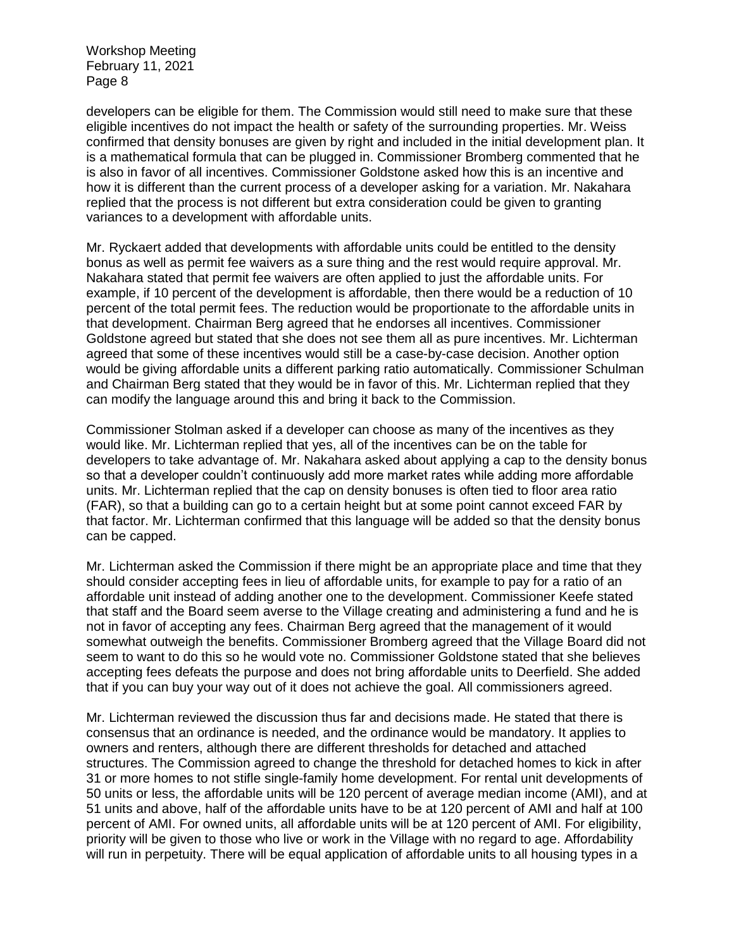developers can be eligible for them. The Commission would still need to make sure that these eligible incentives do not impact the health or safety of the surrounding properties. Mr. Weiss confirmed that density bonuses are given by right and included in the initial development plan. It is a mathematical formula that can be plugged in. Commissioner Bromberg commented that he is also in favor of all incentives. Commissioner Goldstone asked how this is an incentive and how it is different than the current process of a developer asking for a variation. Mr. Nakahara replied that the process is not different but extra consideration could be given to granting variances to a development with affordable units.

Mr. Ryckaert added that developments with affordable units could be entitled to the density bonus as well as permit fee waivers as a sure thing and the rest would require approval. Mr. Nakahara stated that permit fee waivers are often applied to just the affordable units. For example, if 10 percent of the development is affordable, then there would be a reduction of 10 percent of the total permit fees. The reduction would be proportionate to the affordable units in that development. Chairman Berg agreed that he endorses all incentives. Commissioner Goldstone agreed but stated that she does not see them all as pure incentives. Mr. Lichterman agreed that some of these incentives would still be a case-by-case decision. Another option would be giving affordable units a different parking ratio automatically. Commissioner Schulman and Chairman Berg stated that they would be in favor of this. Mr. Lichterman replied that they can modify the language around this and bring it back to the Commission.

Commissioner Stolman asked if a developer can choose as many of the incentives as they would like. Mr. Lichterman replied that yes, all of the incentives can be on the table for developers to take advantage of. Mr. Nakahara asked about applying a cap to the density bonus so that a developer couldn't continuously add more market rates while adding more affordable units. Mr. Lichterman replied that the cap on density bonuses is often tied to floor area ratio (FAR), so that a building can go to a certain height but at some point cannot exceed FAR by that factor. Mr. Lichterman confirmed that this language will be added so that the density bonus can be capped.

Mr. Lichterman asked the Commission if there might be an appropriate place and time that they should consider accepting fees in lieu of affordable units, for example to pay for a ratio of an affordable unit instead of adding another one to the development. Commissioner Keefe stated that staff and the Board seem averse to the Village creating and administering a fund and he is not in favor of accepting any fees. Chairman Berg agreed that the management of it would somewhat outweigh the benefits. Commissioner Bromberg agreed that the Village Board did not seem to want to do this so he would vote no. Commissioner Goldstone stated that she believes accepting fees defeats the purpose and does not bring affordable units to Deerfield. She added that if you can buy your way out of it does not achieve the goal. All commissioners agreed.

Mr. Lichterman reviewed the discussion thus far and decisions made. He stated that there is consensus that an ordinance is needed, and the ordinance would be mandatory. It applies to owners and renters, although there are different thresholds for detached and attached structures. The Commission agreed to change the threshold for detached homes to kick in after 31 or more homes to not stifle single-family home development. For rental unit developments of 50 units or less, the affordable units will be 120 percent of average median income (AMI), and at 51 units and above, half of the affordable units have to be at 120 percent of AMI and half at 100 percent of AMI. For owned units, all affordable units will be at 120 percent of AMI. For eligibility, priority will be given to those who live or work in the Village with no regard to age. Affordability will run in perpetuity. There will be equal application of affordable units to all housing types in a